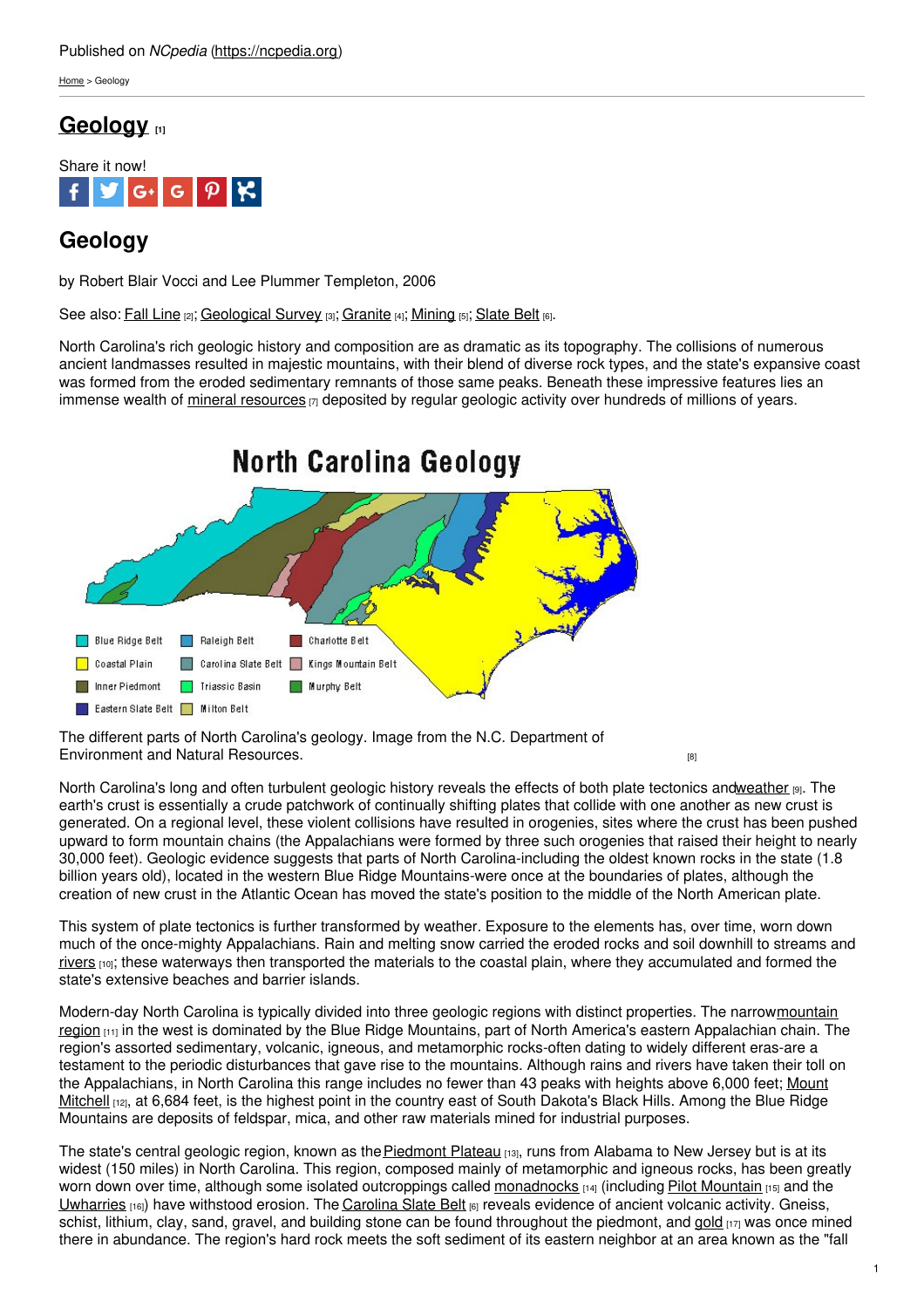### Published on *NCpedia* [\(https://ncpedia.org](https://ncpedia.org))

[Home](https://ncpedia.org/) > Geology

## **[Geology](https://ncpedia.org/geology) [1]**



# **Geology**

by Robert Blair Vocci and Lee Plummer Templeton, 2006

See also: Fall [Line](https://ncpedia.org/fall-line) [2]; [Geological](https://ncpedia.org/geological-survey) Survey [3]; [Granite](https://ncpedia.org/symbols/rock) [4]; [Mining](https://ncpedia.org/mining) [5]; [Slate](https://ncpedia.org/slate-belt) Belt [6].

North Carolina's rich geologic history and composition are as dramatic as its topography. The collisions of numerous ancient landmasses resulted in majestic mountains, with their blend of diverse rock types, and the state's expansive coast was formed from the eroded sedimentary remnants of those same peaks. Beneath these impressive features lies an immense wealth of mineral [resources](https://ncpedia.org/category/subjects/mines-and-mineral)  $\eta$  [deposited](http://www.social9.com) by regular geologic activity over hundreds of millions of years.



The different parts of North Carolina's geology. Image from the N.C. Department of [Environment](http://portal.ncdenr.org/web/lr/overview-of-north-carolina-geology) and Natural Resources. **Environment and Natural Resources** environment and Natural Resources.

North Carolina's long and often turbulent geologic history reveals the effects of both plate tectonics an[dweather](https://ncpedia.org/climate-and-weather-0) [9]. The earth's crust is essentially a crude patchwork of continually shifting plates that collide with one another as new crust is generated. On a regional level, these violent collisions have resulted in orogenies, sites where the crust has been pushed upward to form mountain chains (the Appalachians were formed by three such orogenies that raised their height to nearly 30,000 feet). Geologic evidence suggests that parts of North Carolina-including the oldest known rocks in the state (1.8 billion years old), located in the western Blue Ridge Mountains-were once at the boundaries of plates, although the creation of new crust in the Atlantic Ocean has moved the state's position to the middle of the North American plate.

This system of plate tectonics is further transformed by weather. Exposure to the elements has, over time, worn down much of the once-mighty Appalachians. Rain and melting snow carried the eroded rocks and soil downhill to streams and [rivers](https://ncpedia.org/rivers) [10]; these waterways then transported the materials to the coastal plain, where they accumulated and formed the state's extensive beaches and barrier islands.

Modern-day North Carolina is typically divided into three geologic regions with distinct properties. The [narrowmountain](https://ncpedia.org/our-state-geography-snap-mountain) region  $_{111}$  in the west is dominated by the Blue Ridge Mountains, part of North America's eastern Appalachian chain. The region's assorted sedimentary, volcanic, igneous, and metamorphic rocks-often dating to widely different eras-are a testament to the periodic disturbances that gave rise to the mountains. Although rains and rivers have taken their toll on the [Appalachians,](https://ncpedia.org/node/137) in North Carolina this range includes no fewer than 43 peaks with heights above 6,000 feet; Mount Mitchell  $[12]$ , at 6,684 feet, is the highest point in the country east of South Dakota's Black Hills. Among the Blue Ridge Mountains are deposits of feldspar, mica, and other raw materials mined for industrial purposes.

The state's central geologic region, known as the [Piedmont](https://ncpedia.org/geography/region/piedmont) Plateau [13], runs from Alabama to New Jersey but is at its widest (150 miles) in North Carolina. This region, composed mainly of metamorphic and igneous rocks, has been greatly worn down over time, although some isolated outcroppings called [monadnocks](http://www.learnnc.org/lp/editions/cede_lonemts/?ref=search)  $14$  (including Pilot [Mountain](https://ncpedia.org/pilot-mountain)  $115$ ) and the [Uwharries](https://ncpedia.org/uwharrie-national-forest) [16]) have withstood erosion. The [Carolina](https://ncpedia.org/slate-belt) Slate Belt [6] reveals evidence of ancient volcanic activity. Gneiss, schist, lithium, clay, sand, gravel, and building stone can be found throughout the piedmont, and [gold](https://ncpedia.org/symbols/mineral) [17] was once mined there in abundance. The region's hard rock meets the soft sediment of its eastern neighbor at an area known as the "fall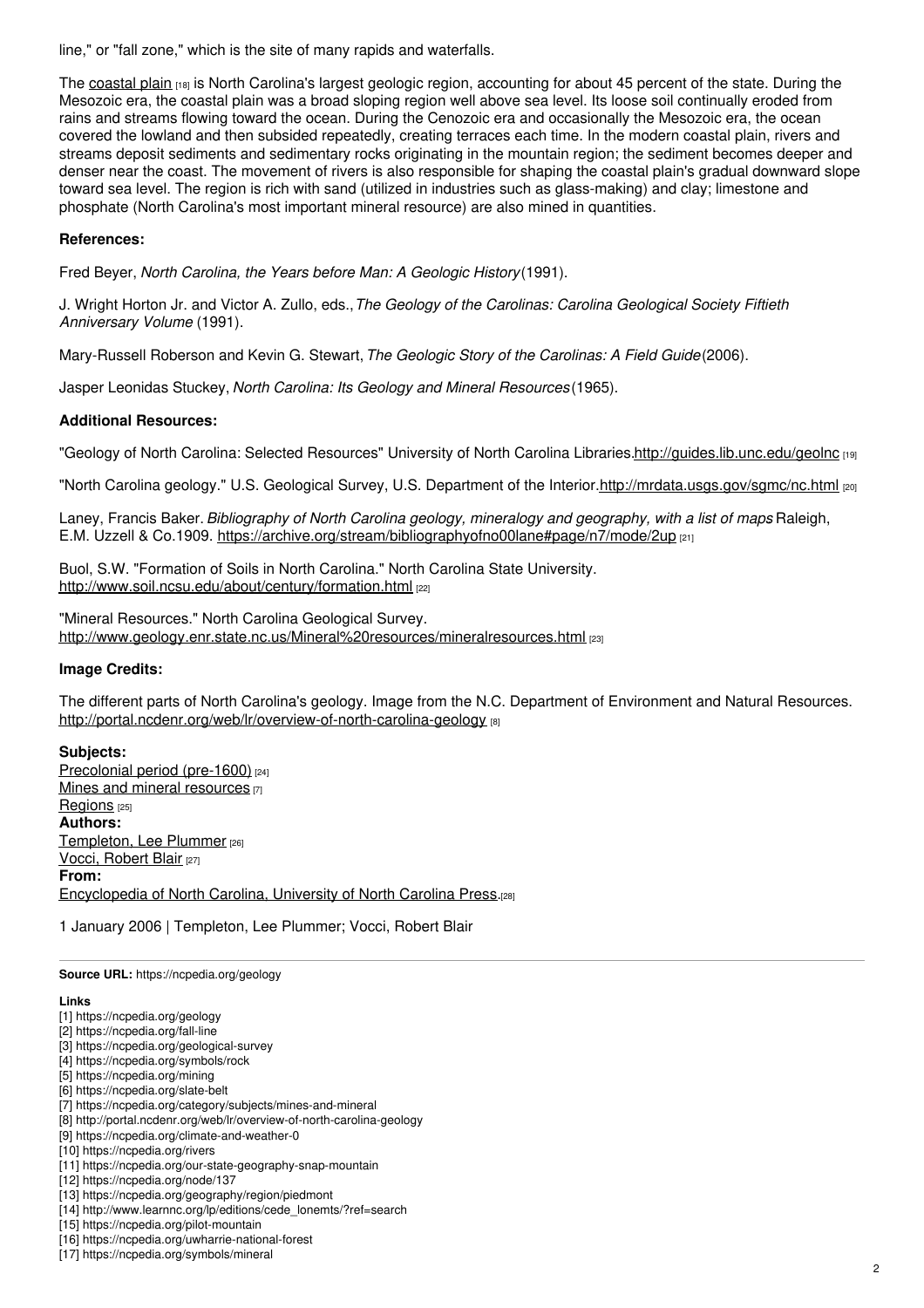line," or "fall zone," which is the site of many rapids and waterfalls.

The [coastal](https://ncpedia.org/geography/region/coastal-plain) plain [18] is North Carolina's largest geologic region, accounting for about 45 percent of the state. During the Mesozoic era, the coastal plain was a broad sloping region well above sea level. Its loose soil continually eroded from rains and streams flowing toward the ocean. During the Cenozoic era and occasionally the Mesozoic era, the ocean covered the lowland and then subsided repeatedly, creating terraces each time. In the modern coastal plain, rivers and streams deposit sediments and sedimentary rocks originating in the mountain region; the sediment becomes deeper and denser near the coast. The movement of rivers is also responsible for shaping the coastal plain's gradual downward slope toward sea level. The region is rich with sand (utilized in industries such as glass-making) and clay; limestone and phosphate (North Carolina's most important mineral resource) are also mined in quantities.

#### **References:**

Fred Beyer, *North Carolina, the Years before Man: A Geologic History*(1991).

J. Wright Horton Jr. and Victor A. Zullo, eds.,*The Geology of the Carolinas: Carolina Geological Society Fiftieth Anniversary Volume* (1991).

Mary-Russell Roberson and Kevin G. Stewart,*The Geologic Story of the Carolinas: A Field Guide*(2006).

Jasper Leonidas Stuckey, *North Carolina: Its Geology and Mineral Resources*(1965).

#### **Additional Resources:**

"Geology of North Carolina: Selected Resources" University of North Carolina Libraries[.http://guides.lib.unc.edu/geolnc](http://guides.lib.unc.edu/geolnc) [19]

"North Carolina geology." U.S. Geological Survey, U.S. Department of the Interior[.http://mrdata.usgs.gov/sgmc/nc.html](http://mrdata.usgs.gov/sgmc/nc.html) [20]

Laney, Francis Baker.*Bibliography of North Carolina geology, mineralogy and geography, with a list of maps*. Raleigh, E.M. Uzzell & Co.1909. <https://archive.org/stream/bibliographyofno00lane#page/n7/mode/2up> [21]

Buol, S.W. "Formation of Soils in North Carolina." North Carolina State University. <http://www.soil.ncsu.edu/about/century/formation.html> [22]

"Mineral Resources." North Carolina Geological Survey. [http://www.geology.enr.state.nc.us/Mineral%20resources/mineralresources.html](http://www.geology.enr.state.nc.us/Mineral resources/mineralresources.html) [23]

#### **Image Credits:**

The different parts of North Carolina's geology. Image from the N.C. Department of Environment and Natural Resources. <http://portal.ncdenr.org/web/lr/overview-of-north-carolina-geology> [8]

#### **Subjects:**

[Precolonial](https://ncpedia.org/category/subjects/prehistory) period (pre-1600) [24] Mines and mineral [resources](https://ncpedia.org/category/subjects/mines-and-mineral) [7] [Regions](https://ncpedia.org/category/subjects/regions) [25] **Authors:** [Templeton,](https://ncpedia.org/category/authors/templeton-lee-plum) Lee Plummer [26] Vocci, [Robert](https://ncpedia.org/category/authors/vocci-robert-blair) Blair [27] **From:** [Encyclopedia](https://ncpedia.org/category/entry-source/encyclopedia-) of North Carolina, University of North Carolina Press.[28]

1 January 2006 | Templeton, Lee Plummer; Vocci, Robert Blair

**Source URL:** https://ncpedia.org/geology

#### **Links**

- [1] https://ncpedia.org/geology
- [2] https://ncpedia.org/fall-line
- [3] https://ncpedia.org/geological-survey
- [4] https://ncpedia.org/symbols/rock
- [5] https://ncpedia.org/mining
- [6] https://ncpedia.org/slate-belt
- [7] https://ncpedia.org/category/subjects/mines-and-mineral
- [8] http://portal.ncdenr.org/web/lr/overview-of-north-carolina-geology
- [9] https://ncpedia.org/climate-and-weather-0 [10] https://ncpedia.org/rivers
- [11] https://ncpedia.org/our-state-geography-snap-mountain
- [12] https://ncpedia.org/node/137
- [13] https://ncpedia.org/geography/region/piedmont
- [14] http://www.learnnc.org/lp/editions/cede\_lonemts/?ref=search
- [15] https://ncpedia.org/pilot-mountain
- [16] https://ncpedia.org/uwharrie-national-forest
- [17] https://ncpedia.org/symbols/mineral